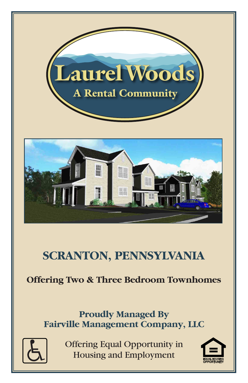

# **SCRANTON, PENNSYLVANIA**

## **Offering Two & Three Bedroom Townhomes**

## **Proudly Managed By Fairville Management Company, LLC**



Offering Equal Opportunity in **Housing and Employment** 

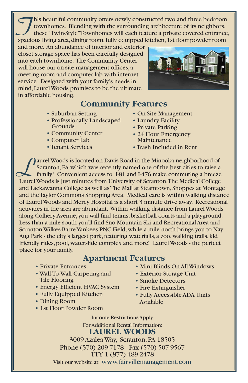This beautiful community offers newly constructed two and three bedroom<br>townhomes. Blending with the surrounding architecture of its neighbors,<br>these "Twin-Style" Townhomes will each feature a private covered entrance,<br>spa townhomes. Blending with the surrounding architecture of its neighbors, spacious living area, dining room, fully equipped kitchen, 1st floor powder room

and more. An abundance of interior and exterior closet storage space has been carefully designed into each townhome. The Community Center will house our on-site management offices, a meeting room and computer lab with internet service. Designed with your family's needs in mind, Laurel Woods promises to be the ultimate in affordable housing.

### **Community Features**

- Suburban Setting
- Professionally Landscaped Grounds
- Community Center
- Computer Lab
- Tenant Services



- On-Site Management
- Laundry Facility
- Private Parking
- 24 Hour Emergency Maintenance
- Trash Included in Rent

Quirel Woods is located on Davis Road in the Minooka neighborhood of Scranton, PA which was recently named one of the best cities to raise a family! Convenient access to 1-81 and 1-476 make commuting a breeze Scranton, PA which was recently named one of the best cities to raise a family! Convenient access to I-81 and I-476 make commuting a breeze. Laurel Woods is just minutes from University of Scranton, The Medical College and Lackawanna College as well asThe Mall at Steamtown, Shoppes at Montage and the Taylor Commons Shopping Area. Medical care is within walking distance of Laurel Woods and Mercy Hospital is a short 3 minute drive away. Recreational activities in the area are abundant. Within walking distance from Laurel Woods along Colliery Avenue, you will find tennis, basketball courts and a playground. Less than a mile south you'll find Sno Mountain Ski and Recreational Area and Scranton Wilkes-Barre Yankees PNC Field, while a mile north brings you to Nay Aug Park - the city's largest park, featuring waterfalls, a zoo, walking trails, kid friendly rides, pool, waterslide complex and more! Laurel Woods - the perfect place for your family.

#### **Apartment Features**

- Private Entrances
- Wall-To-Wall Carpeting and Tile Flooring
- Energy Efficient HVAC System
- Fully Equipped Kitchen
- Dining Room
- 1st Floor Powder Room
- Mini Blinds On All Windows
- Exterior Storage Unit
- Smoke Detectors
- Fire Extinguisher
- Fully Accessible ADA Units Available

Income Restrictions Apply For Additional Rental Information:

#### **LAUREL WOODS**

3009 Azalea Way, Scranton, PA 18505 Phone (570) 209-7178 Fax (570) 507-9567 TTY 1 (877) 489-2478 Visit our website at: www.fairvillemanagement.com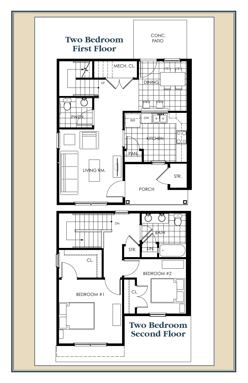